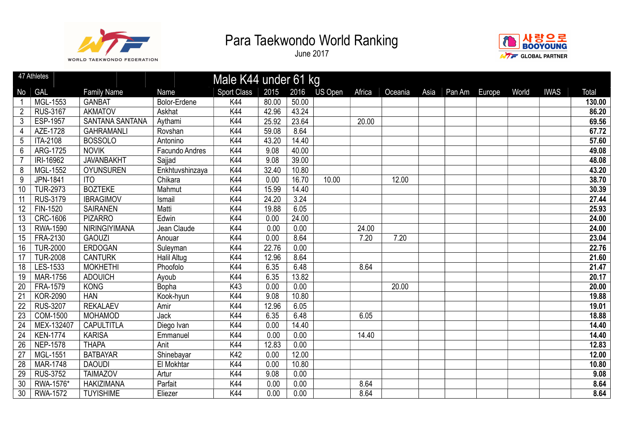



|                 | 47 Athletes     |                        |                    | Male K44 under 61 kg |       |       |         |        |         |      |        |        |       |             |                    |
|-----------------|-----------------|------------------------|--------------------|----------------------|-------|-------|---------|--------|---------|------|--------|--------|-------|-------------|--------------------|
| No              | <b>GAL</b>      | <b>Family Name</b>     | Name               | <b>Sport Class</b>   | 2015  | 2016  | US Open | Africa | Oceania | Asia | Pan Am | Europe | World | <b>IWAS</b> | Total              |
|                 | MGL-1553        | <b>GANBAT</b>          | Bolor-Erdene       | K44                  | 80.00 | 50.00 |         |        |         |      |        |        |       |             | 130.00             |
| $\overline{2}$  | <b>RUS-3167</b> | <b>AKMATOV</b>         | Askhat             | K44                  | 42.96 | 43.24 |         |        |         |      |        |        |       |             | 86.20              |
| 3               | <b>ESP-1957</b> | <b>SANTANA SANTANA</b> | Aythami            | <b>K44</b>           | 25.92 | 23.64 |         | 20.00  |         |      |        |        |       |             | 69.56              |
| 4               | AZE-1728        | <b>GAHRAMANLI</b>      | Rovshan            | K44                  | 59.08 | 8.64  |         |        |         |      |        |        |       |             | 67.72              |
| 5               | <b>ITA-2108</b> | <b>BOSSOLO</b>         | Antonino           | K44                  | 43.20 | 14.40 |         |        |         |      |        |        |       |             | 57.60              |
| 6               | <b>ARG-1725</b> | <b>NOVIK</b>           | Facundo Andres     | <b>K44</b>           | 9.08  | 40.00 |         |        |         |      |        |        |       |             | 49.08              |
|                 | IRI-16962       | <b>JAVANBAKHT</b>      | Sajjad             | K44                  | 9.08  | 39.00 |         |        |         |      |        |        |       |             | 48.08              |
| 8               | MGL-1552        | <b>OYUNSUREN</b>       | Enkhtuvshinzaya    | <b>K44</b>           | 32.40 | 10.80 |         |        |         |      |        |        |       |             | 43.20              |
| 9               | JPN-1841        | <b>ITO</b>             | Chikara            | K44                  | 0.00  | 16.70 | 10.00   |        | 12.00   |      |        |        |       |             | 38.70              |
| 10              | <b>TUR-2973</b> | <b>BOZTEKE</b>         | Mahmut             | <b>K44</b>           | 15.99 | 14.40 |         |        |         |      |        |        |       |             | 30.39              |
| 11              | <b>RUS-3179</b> | <b>IBRAGIMOV</b>       | Ismail             | K44                  | 24.20 | 3.24  |         |        |         |      |        |        |       |             | 27.44              |
| 12              | FIN-1520        | <b>SAIRANEN</b>        | Matti              | <b>K44</b>           | 19.88 | 6.05  |         |        |         |      |        |        |       |             | 25.93              |
| 13              | <b>CRC-1606</b> | <b>PIZARRO</b>         | Edwin              | K44                  | 0.00  | 24.00 |         |        |         |      |        |        |       |             | 24.00              |
| 13              | <b>RWA-1590</b> | NIRINGIYIMANA          | Jean Claude        | K44                  | 0.00  | 0.00  |         | 24.00  |         |      |        |        |       |             | $\overline{24.00}$ |
| 15              | FRA-2130        | <b>GAOUZI</b>          | Anouar             | K44                  | 0.00  | 8.64  |         | 7.20   | 7.20    |      |        |        |       |             | 23.04              |
| 16              | <b>TUR-2000</b> | <b>ERDOGAN</b>         | Suleyman           | K44                  | 22.76 | 0.00  |         |        |         |      |        |        |       |             | 22.76              |
| 17              | <b>TUR-2008</b> | <b>CANTURK</b>         | <b>Halil Altug</b> | K44                  | 12.96 | 8.64  |         |        |         |      |        |        |       |             | 21.60              |
| 18              | LES-1533        | <b>MOKHETHI</b>        | Phoofolo           | K44                  | 6.35  | 6.48  |         | 8.64   |         |      |        |        |       |             | 21.47              |
| 19              | MAR-1756        | <b>ADOUICH</b>         | Ayoub              | K44                  | 6.35  | 13.82 |         |        |         |      |        |        |       |             | 20.17              |
| 20              | FRA-1579        | <b>KONG</b>            | Bopha              | K43                  | 0.00  | 0.00  |         |        | 20.00   |      |        |        |       |             | 20.00              |
| 21              | <b>KOR-2090</b> | <b>HAN</b>             | Kook-hyun          | <b>K44</b>           | 9.08  | 10.80 |         |        |         |      |        |        |       |             | 19.88              |
| 22              | <b>RUS-3207</b> | <b>REKALAEV</b>        | Amir               | K44                  | 12.96 | 6.05  |         |        |         |      |        |        |       |             | 19.01              |
| 23              | COM-1500        | <b>MOHAMOD</b>         | Jack               | K44                  | 6.35  | 6.48  |         | 6.05   |         |      |        |        |       |             | 18.88              |
| 24              | MEX-132407      | <b>CAPULTITLA</b>      | Diego Ivan         | K44                  | 0.00  | 14.40 |         |        |         |      |        |        |       |             | 14.40              |
| 24              | <b>KEN-1774</b> | <b>KARISA</b>          | Emmanuel           | K44                  | 0.00  | 0.00  |         | 14.40  |         |      |        |        |       |             | 14.40              |
| 26              | <b>NEP-1578</b> | <b>THAPA</b>           | Anit               | K44                  | 12.83 | 0.00  |         |        |         |      |        |        |       |             | 12.83              |
| $\overline{27}$ | MGL-1551        | <b>BATBAYAR</b>        | Shinebayar         | K42                  | 0.00  | 12.00 |         |        |         |      |        |        |       |             | 12.00              |
| 28              | <b>MAR-1748</b> | <b>DAOUDI</b>          | El Mokhtar         | <b>K44</b>           | 0.00  | 10.80 |         |        |         |      |        |        |       |             | 10.80              |
| 29              | <b>RUS-3752</b> | <b>TAIMAZOV</b>        | Artur              | K44                  | 9.08  | 0.00  |         |        |         |      |        |        |       |             | 9.08               |
| 30              | RWA-1576*       | <b>HAKIZIMANA</b>      | Parfait            | K44                  | 0.00  | 0.00  |         | 8.64   |         |      |        |        |       |             | 8.64               |
| 30              | <b>RWA-1572</b> | <b>TUYISHIME</b>       | Eliezer            | K44                  | 0.00  | 0.00  |         | 8.64   |         |      |        |        |       |             | 8.64               |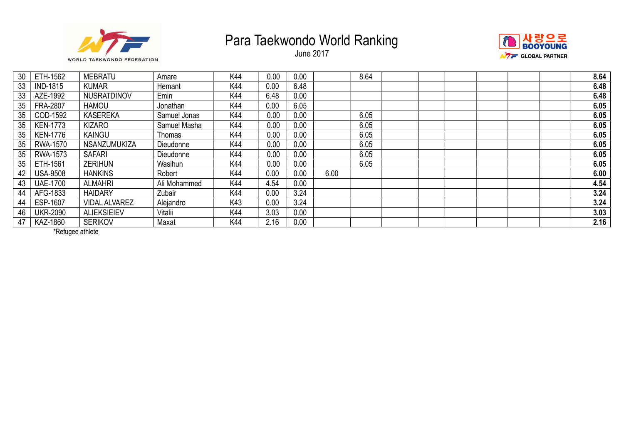

June 2017



| 30 | ETH-1562        | <b>MEBRATU</b>       | Amare        | K44 | 0.00 | 0.00 |      | 8.64 |  | 8.64 |
|----|-----------------|----------------------|--------------|-----|------|------|------|------|--|------|
| 33 | <b>IND-1815</b> | <b>KUMAR</b>         | Hemant       | K44 | 0.00 | 6.48 |      |      |  | 6.48 |
| 33 | AZE-1992        | <b>NUSRATDINOV</b>   | Emin         | K44 | 6.48 | 0.00 |      |      |  | 6.48 |
| 35 | <b>FRA-2807</b> | <b>HAMOU</b>         | Jonathan     | K44 | 0.00 | 6.05 |      |      |  | 6.05 |
| 35 | COD-1592        | <b>KASEREKA</b>      | Samuel Jonas | K44 | 0.00 | 0.00 |      | 6.05 |  | 6.05 |
| 35 | <b>KEN-1773</b> | <b>KIZARO</b>        | Samuel Masha | K44 | 0.00 | 0.00 |      | 6.05 |  | 6.05 |
| 35 | <b>KEN-1776</b> | <b>KAINGU</b>        | Thomas       | K44 | 0.00 | 0.00 |      | 6.05 |  | 6.05 |
| 35 | RWA-1570        | <b>NSANZUMUKIZA</b>  | Dieudonne    | K44 | 0.00 | 0.00 |      | 6.05 |  | 6.05 |
| 35 | RWA-1573        | <b>SAFARI</b>        | Dieudonne    | K44 | 0.00 | 0.00 |      | 6.05 |  | 6.05 |
| 35 | ETH-1561        | <b>ZERIHUN</b>       | Wasihun      | K44 | 0.00 | 0.00 |      | 6.05 |  | 6.05 |
| 42 | <b>USA-9508</b> | <b>HANKINS</b>       | Robert       | K44 | 0.00 | 0.00 | 6.00 |      |  | 6.00 |
| 43 | <b>UAE-1700</b> | <b>ALMAHRI</b>       | Ali Mohammed | K44 | 4.54 | 0.00 |      |      |  | 4.54 |
| 44 | AFG-1833        | <b>HAIDARY</b>       | Zubair       | K44 | 0.00 | 3.24 |      |      |  | 3.24 |
| 44 | ESP-1607        | <b>VIDAL ALVAREZ</b> | Alejandro    | K43 | 0.00 | 3.24 |      |      |  | 3.24 |
| 46 | <b>UKR-2090</b> | <b>ALIEKSIEIEV</b>   | Vitalii      | K44 | 3.03 | 0.00 |      |      |  | 3.03 |
| 47 | KAZ-1860        | <b>SERIKOV</b>       | Maxat        | K44 | 2.16 | 0.00 |      |      |  | 2.16 |

\*Refugee athlete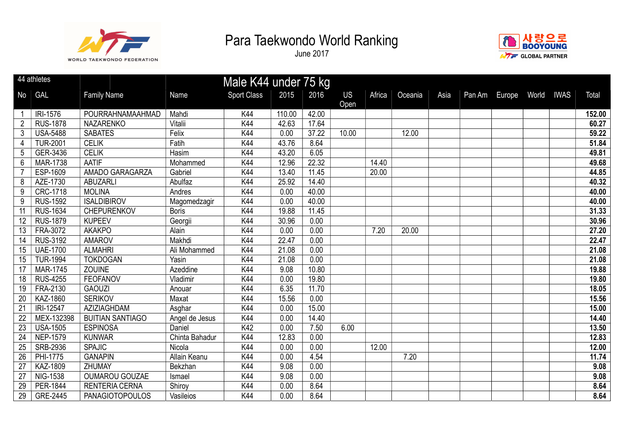



|                 | 44 athletes     |                         |                | Male K44 under 75 kg |                   |       |                   |        |         |      |        |        |       |             |        |
|-----------------|-----------------|-------------------------|----------------|----------------------|-------------------|-------|-------------------|--------|---------|------|--------|--------|-------|-------------|--------|
| No              | GAL             | <b>Family Name</b>      | Name           | <b>Sport Class</b>   | 2015              | 2016  | <b>US</b><br>Open | Africa | Oceania | Asia | Pan Am | Europe | World | <b>IWAS</b> | Total  |
|                 | IRI-1576        | POURRAHNAMAAHMAD        | Mahdi          | K44                  | 110.00            | 42.00 |                   |        |         |      |        |        |       |             | 152.00 |
| $\overline{2}$  | <b>RUS-1878</b> | <b>NAZARENKO</b>        | Vitalii        | K44                  | 42.63             | 17.64 |                   |        |         |      |        |        |       |             | 60.27  |
| 3               | <b>USA-5488</b> | <b>SABATES</b>          | Felix          | K44                  | 0.00              | 37.22 | 10.00             |        | 12.00   |      |        |        |       |             | 59.22  |
| 4               | <b>TUR-2001</b> | <b>CELIK</b>            | Fatih          | K44                  | 43.76             | 8.64  |                   |        |         |      |        |        |       |             | 51.84  |
| 5               | GER-3436        | <b>CELIK</b>            | Hasim          | K44                  | 43.20             | 6.05  |                   |        |         |      |        |        |       |             | 49.81  |
| 6               | <b>MAR-1738</b> | <b>AATIF</b>            | Mohammed       | K44                  | 12.96             | 22.32 |                   | 14.40  |         |      |        |        |       |             | 49.68  |
|                 | ESP-1609        | AMADO GARAGARZA         | Gabriel        | K44                  | 13.40             | 11.45 |                   | 20.00  |         |      |        |        |       |             | 44.85  |
| 8               | AZE-1730        | <b>ABUZARLI</b>         | Abulfaz        | K44                  | 25.92             | 14.40 |                   |        |         |      |        |        |       |             | 40.32  |
| 9               | CRC-1718        | <b>MOLINA</b>           | Andres         | K44                  | 0.00              | 40.00 |                   |        |         |      |        |        |       |             | 40.00  |
| 9               | <b>RUS-1592</b> | <b>ISALDIBIROV</b>      | Magomedzagir   | K44                  | 0.00              | 40.00 |                   |        |         |      |        |        |       |             | 40.00  |
| 11              | <b>RUS-1634</b> | <b>CHEPURENKOV</b>      | <b>Boris</b>   | K44                  | 19.88             | 11.45 |                   |        |         |      |        |        |       |             | 31.33  |
| 12              | <b>RUS-1879</b> | <b>KUPEEV</b>           | Georgii        | K44                  | 30.96             | 0.00  |                   |        |         |      |        |        |       |             | 30.96  |
| 13              | FRA-3072        | <b>AKAKPO</b>           | Alain          | K44                  | $\overline{0.00}$ | 0.00  |                   | 7.20   | 20.00   |      |        |        |       |             | 27.20  |
| 14              | RUS-3192        | <b>AMAROV</b>           | Makhdi         | K44                  | 22.47             | 0.00  |                   |        |         |      |        |        |       |             | 22.47  |
| 15              | <b>UAE-1700</b> | <b>ALMAHRI</b>          | Ali Mohammed   | K44                  | 21.08             | 0.00  |                   |        |         |      |        |        |       |             | 21.08  |
| 15              | <b>TUR-1994</b> | <b>TOKDOGAN</b>         | Yasin          | K44                  | 21.08             | 0.00  |                   |        |         |      |        |        |       |             | 21.08  |
| 17              | <b>MAR-1745</b> | <b>ZOUINE</b>           | Azeddine       | K44                  | 9.08              | 10.80 |                   |        |         |      |        |        |       |             | 19.88  |
| 18              | <b>RUS-4255</b> | <b>FEOFANOV</b>         | Vladimir       | K44                  | 0.00              | 19.80 |                   |        |         |      |        |        |       |             | 19.80  |
| 19              | FRA-2130        | <b>GAOUZI</b>           | Anouar         | K44                  | 6.35              | 11.70 |                   |        |         |      |        |        |       |             | 18.05  |
| 20              | KAZ-1860        | <b>SERIKOV</b>          | Maxat          | K44                  | 15.56             | 0.00  |                   |        |         |      |        |        |       |             | 15.56  |
| $\overline{21}$ | IRI-12547       | AZIZIAGHDAM             | Asghar         | K44                  | 0.00              | 15.00 |                   |        |         |      |        |        |       |             | 15.00  |
| 22              | MEX-132398      | <b>BUITIAN SANTIAGO</b> | Angel de Jesus | K44                  | 0.00              | 14.40 |                   |        |         |      |        |        |       |             | 14.40  |
| 23              | <b>USA-1505</b> | <b>ESPINOSA</b>         | Daniel         | K42                  | 0.00              | 7.50  | 6.00              |        |         |      |        |        |       |             | 13.50  |
| 24              | <b>NEP-1579</b> | <b>KUNWAR</b>           | Chinta Bahadur | K44                  | 12.83             | 0.00  |                   |        |         |      |        |        |       |             | 12.83  |
| 25              | SRB-2936        | <b>SPAJIC</b>           | Nicola         | K44                  | 0.00              | 0.00  |                   | 12.00  |         |      |        |        |       |             | 12.00  |
| $\overline{26}$ | PHI-1775        | <b>GANAPIN</b>          | Allain Keanu   | K44                  | 0.00              | 4.54  |                   |        | 7.20    |      |        |        |       |             | 11.74  |
| 27              | KAZ-1809        | ZHUMAY                  | Bekzhan        | K44                  | 9.08              | 0.00  |                   |        |         |      |        |        |       |             | 9.08   |
| 27              | NIG-1538        | <b>OUMAROU GOUZAE</b>   | Ismael         | K44                  | 9.08              | 0.00  |                   |        |         |      |        |        |       |             | 9.08   |
| 29              | PER-1844        | <b>RENTERIA CERNA</b>   | Shiroy         | K44                  | 0.00              | 8.64  |                   |        |         |      |        |        |       |             | 8.64   |
| 29              | GRE-2445        | <b>PANAGIOTOPOULOS</b>  | Vasileios      | K44                  | 0.00              | 8.64  |                   |        |         |      |        |        |       |             | 8.64   |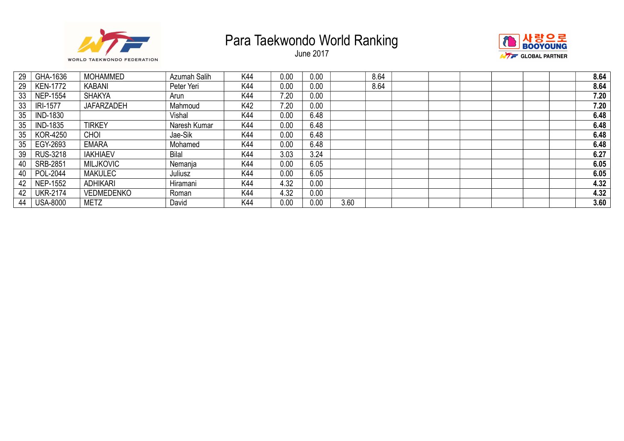



| 29 | GHA-1636        | <b>MOHAMMED</b>   | Azumah Salih | K44 | 0.00 | 0.00 |      | 8.64 |  |  | 8.64 |
|----|-----------------|-------------------|--------------|-----|------|------|------|------|--|--|------|
| 29 | <b>KEN-1772</b> | <b>KABANI</b>     | Peter Yeri   | K44 | 0.00 | 0.00 |      | 8.64 |  |  | 8.64 |
| 33 | <b>NEP-1554</b> | <b>SHAKYA</b>     | Arun         | K44 | 7.20 | 0.00 |      |      |  |  | 7.20 |
| 33 | <b>IRI-1577</b> | <b>JAFARZADEH</b> | Mahmoud      | K42 | 7.20 | 0.00 |      |      |  |  | 7.20 |
| 35 | <b>IND-1830</b> |                   | Vishal       | K44 | 0.00 | 6.48 |      |      |  |  | 6.48 |
| 35 | <b>IND-1835</b> | <b>TIRKEY</b>     | Naresh Kumar | K44 | 0.00 | 6.48 |      |      |  |  | 6.48 |
| 35 | KOR-4250        | <b>CHOI</b>       | Jae-Sik      | K44 | 0.00 | 6.48 |      |      |  |  | 6.48 |
| 35 | EGY-2693        | <b>EMARA</b>      | Mohamed      | K44 | 0.00 | 6.48 |      |      |  |  | 6.48 |
| 39 | <b>RUS-3218</b> | <b>IAKHIAEV</b>   | <b>Bilal</b> | K44 | 3.03 | 3.24 |      |      |  |  | 6.27 |
| 40 | SRB-2851        | <b>MILJKOVIC</b>  | Nemanja      | K44 | 0.00 | 6.05 |      |      |  |  | 6.05 |
| 40 | POL-2044        | <b>MAKULEC</b>    | Juliusz      | K44 | 0.00 | 6.05 |      |      |  |  | 6.05 |
| 42 | <b>NEP-1552</b> | <b>ADHIKARI</b>   | Hiramani     | K44 | 4.32 | 0.00 |      |      |  |  | 4.32 |
| 42 | <b>UKR-2174</b> | <b>VEDMEDENKO</b> | Roman        | K44 | 4.32 | 0.00 |      |      |  |  | 4.32 |
| 44 | <b>USA-8000</b> | <b>METZ</b>       | David        | K44 | 0.00 | 0.00 | 3.60 |      |  |  | 3.60 |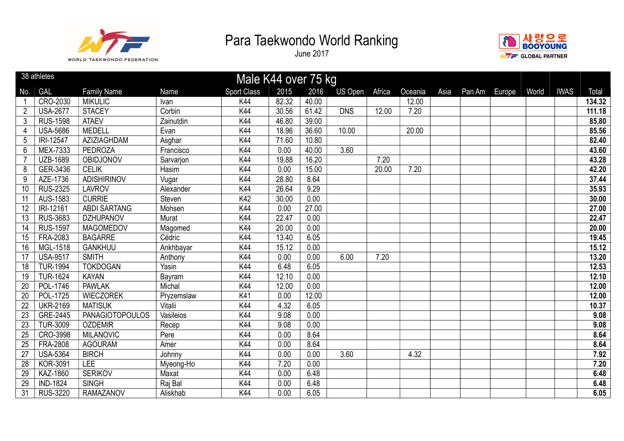



|                | 38 athletes     |                        |            | Male K44 over 75 kg |       |       |            |        |         |      |        |        |       |             |        |
|----------------|-----------------|------------------------|------------|---------------------|-------|-------|------------|--------|---------|------|--------|--------|-------|-------------|--------|
| No.            | <b>GAL</b>      | <b>Family Name</b>     | Name       | <b>Sport Class</b>  | 2015  | 2016  | US Open    | Africa | Oceania | Asia | Pan Am | Europe | World | <b>IWAS</b> | Total  |
|                | CRO-2030        | <b>MIKULIC</b>         | Ivan       | K44                 | 82.32 | 40.00 |            |        | 12.00   |      |        |        |       |             | 134.32 |
| $\overline{2}$ | <b>USA-2677</b> | <b>STACEY</b>          | Corbin     | K44                 | 30.56 | 61.42 | <b>DNS</b> | 12.00  | 7.20    |      |        |        |       |             | 111.18 |
| 3              | <b>RUS-1598</b> | <b>ATAEV</b>           | Zainutdin  | K44                 | 46.80 | 39.00 |            |        |         |      |        |        |       |             | 85.80  |
| $\overline{4}$ | <b>USA-5686</b> | <b>MEDELL</b>          | Evan       | K44                 | 18.96 | 36.60 | 10.00      |        | 20.00   |      |        |        |       |             | 85.56  |
| 5              | IRI-12547       | <b>AZIZIAGHDAM</b>     | Asghar     | K44                 | 71.60 | 10.80 |            |        |         |      |        |        |       |             | 82.40  |
| 6              | MEX-7333        | PEDROZA                | Francisco  | K44                 | 0.00  | 40.00 | 3.60       |        |         |      |        |        |       |             | 43.60  |
| $\overline{7}$ | <b>UZB-1689</b> | OBIDJONOV              | Sarvarjon  | K44                 | 19.88 | 16.20 |            | 7.20   |         |      |        |        |       |             | 43.28  |
| 8              | GER-3436        | <b>CELIK</b>           | Hasim      | K44                 | 0.00  | 15.00 |            | 20.00  | 7.20    |      |        |        |       |             | 42.20  |
| 9              | AZE-1736        | <b>ADISHIRINOV</b>     | Vugar      | K44                 | 28.80 | 8.64  |            |        |         |      |        |        |       |             | 37.44  |
| 10             | <b>RUS-2325</b> | <b>LAVROV</b>          | Alexander  | K44                 | 26.64 | 9.29  |            |        |         |      |        |        |       |             | 35.93  |
| 11             | AUS-1583        | <b>CURRIE</b>          | Steven     | K42                 | 30.00 | 0.00  |            |        |         |      |        |        |       |             | 30.00  |
| 12             | IRI-12161       | <b>ABDI SARTANG</b>    | Mohsen     | K44                 | 0.00  | 27.00 |            |        |         |      |        |        |       |             | 27.00  |
| 13             | <b>RUS-3683</b> | <b>DZHUPANOV</b>       | Murat      | K44                 | 22.47 | 0.00  |            |        |         |      |        |        |       |             | 22.47  |
| 14             | <b>RUS-1597</b> | <b>MAGOMEDOV</b>       | Magomed    | K44                 | 20.00 | 0.00  |            |        |         |      |        |        |       |             | 20.00  |
| 15             | <b>FRA-2083</b> | <b>BAGARRE</b>         | Cédric     | K44                 | 13.40 | 6.05  |            |        |         |      |        |        |       |             | 19.45  |
| 16             | MGL-1518        | <b>GANKHUU</b>         | Ankhbayar  | K44                 | 15.12 | 0.00  |            |        |         |      |        |        |       |             | 15.12  |
| 17             | <b>USA-9517</b> | <b>SMITH</b>           | Anthony    | K44                 | 0.00  | 0.00  | 6.00       | 7.20   |         |      |        |        |       |             | 13.20  |
| 18             | <b>TUR-1994</b> | <b>TOKDOGAN</b>        | Yasin      | K44                 | 6.48  | 6.05  |            |        |         |      |        |        |       |             | 12.53  |
| 19             | <b>TUR-1624</b> | <b>KAYAN</b>           | Bayram     | K44                 | 12.10 | 0.00  |            |        |         |      |        |        |       |             | 12.10  |
| 20             | POL-1746        | <b>PAWLAK</b>          | Michal     | K44                 | 12.00 | 0.00  |            |        |         |      |        |        |       |             | 12.00  |
| 20             | <b>POL-1725</b> | <b>WIECZOREK</b>       | Pryzemslaw | K41                 | 0.00  | 12.00 |            |        |         |      |        |        |       |             | 12.00  |
| 22             | <b>UKR-2169</b> | <b>MATISUK</b>         | Vitalii    | K44                 | 4.32  | 6.05  |            |        |         |      |        |        |       |             | 10.37  |
| 23             | GRE-2445        | <b>PANAGIOTOPOULOS</b> | Vasileios  | K44                 | 9.08  | 0.00  |            |        |         |      |        |        |       |             | 9.08   |
| 23             | <b>TUR-3009</b> | <b>OZDEMIR</b>         | Recep      | K44                 | 9.08  | 0.00  |            |        |         |      |        |        |       |             | 9.08   |
| 25             | <b>CRO-3998</b> | <b>MILANOVIC</b>       | Pere       | K44                 | 0.00  | 8.64  |            |        |         |      |        |        |       |             | 8.64   |
| 25             | <b>FRA-2808</b> | <b>AGOURAM</b>         | Amer       | K44                 | 0.00  | 8.64  |            |        |         |      |        |        |       |             | 8.64   |
| 27             | <b>USA-5364</b> | <b>BIRCH</b>           | Johnny     | K44                 | 0.00  | 0.00  | 3.60       |        | 4.32    |      |        |        |       |             | 7.92   |
| 28             | <b>KOR-3091</b> | <b>LEE</b>             | Myeong-Ho  | K44                 | 7.20  | 0.00  |            |        |         |      |        |        |       |             | 7.20   |
| 29             | <b>KAZ-1860</b> | <b>SERIKOV</b>         | Maxat      | K44                 | 0.00  | 6.48  |            |        |         |      |        |        |       |             | 6.48   |
| 29             | <b>IND-1824</b> | <b>SINGH</b>           | Raj Bal    | K44                 | 0.00  | 6.48  |            |        |         |      |        |        |       |             | 6.48   |
| 31             | <b>RUS-3220</b> | <b>RAMAZANOV</b>       | Aliskhab   | K44                 | 0.00  | 6.05  |            |        |         |      |        |        |       |             | 6.05   |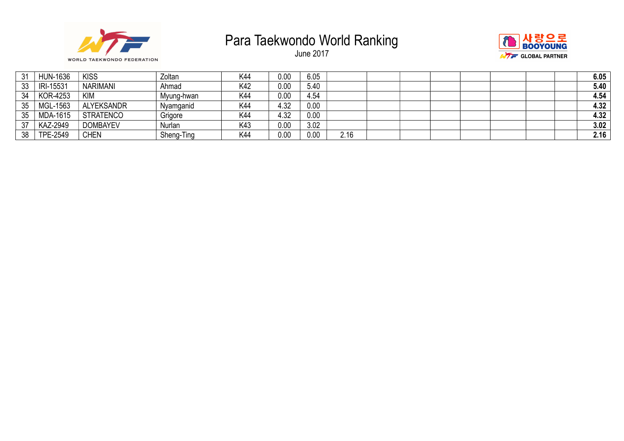



| 31 | <b>HUN-1636</b> | <b>KISS</b>       | Zoltan     | K44 | 0.00 | 6.05 |      |  |  |  | 6.05 |
|----|-----------------|-------------------|------------|-----|------|------|------|--|--|--|------|
| 33 | IRI-15531       | <b>NARIMANI</b>   | Ahmad      | K42 | 0.00 | 5.40 |      |  |  |  | 5.40 |
| 34 | <b>KOR-4253</b> | <b>KIM</b>        | Myung-hwan | K44 | 0.00 | 4.54 |      |  |  |  | 4.54 |
| 35 | MGL-1563        | <b>ALYEKSANDR</b> | Nyamganid  | K44 | 4.32 | 0.00 |      |  |  |  | 4.32 |
| 35 | <b>MDA-1615</b> | <b>STRATENCO</b>  | Grigore    | K44 | 4.32 | 0.00 |      |  |  |  | 4.32 |
| 37 | <b>KAZ-2949</b> | <b>DOMBAYEV</b>   | Nurlan     | K43 | 0.00 | 3.02 |      |  |  |  | 3.02 |
| 38 | TPE-2549        | <b>CHEN</b>       | Sheng-Ting | K44 | 0.00 | 0.00 | 2.16 |  |  |  | 2.16 |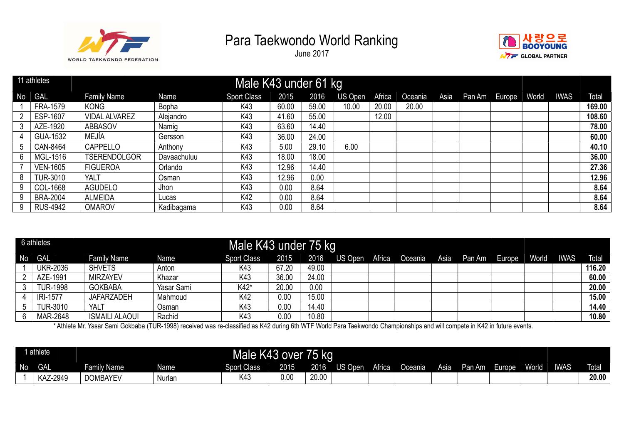

June 2017



|    | 11 athletes     |                      |             | Male K43 under 61 kg |       |       |         |        |         |      |                 |       |             |        |
|----|-----------------|----------------------|-------------|----------------------|-------|-------|---------|--------|---------|------|-----------------|-------|-------------|--------|
| No | <b>GAL</b>      | <b>Family Name</b>   | Name        | <b>Sport Class</b>   | 2015  | 2016  | US Open | Africa | Oceania | Asia | Pan Am   Europe | World | <b>IWAS</b> | Total  |
|    | <b>FRA-1579</b> | <b>KONG</b>          | Bopha       | K43                  | 60.00 | 59.00 | 10.00   | 20.00  | 20.00   |      |                 |       |             | 169.00 |
|    | ESP-1607        | <b>VIDAL ALVAREZ</b> | Alejandro   | K43                  | 41.60 | 55.00 |         | 12.00  |         |      |                 |       |             | 108.60 |
|    | AZE-1920        | <b>ABBASOV</b>       | Namig       | K43                  | 63.60 | 14.40 |         |        |         |      |                 |       |             | 78.00  |
|    | <b>GUA-1532</b> | MEJÍA                | Gersson     | K43                  | 36.00 | 24.00 |         |        |         |      |                 |       |             | 60.00  |
| 5. | CAN-8464        | CAPPELLO             | Anthony     | K43                  | 5.00  | 29.10 | 6.00    |        |         |      |                 |       |             | 40.10  |
| 6  | MGL-1516        | <b>TSERENDOLGOR</b>  | Davaachuluu | K43                  | 18.00 | 18.00 |         |        |         |      |                 |       |             | 36.00  |
|    | <b>VEN-1605</b> | <b>FIGUEROA</b>      | Orlando     | K43                  | 12.96 | 14.40 |         |        |         |      |                 |       |             | 27.36  |
|    | <b>TUR-3010</b> | <b>YALT</b>          | Osman       | K43                  | 12.96 | 0.00  |         |        |         |      |                 |       |             | 12.96  |
| 9. | COL-1668        | <b>AGUDELO</b>       | Jhon        | K43                  | 0.00  | 8.64  |         |        |         |      |                 |       |             | 8.64   |
| 9  | <b>BRA-2004</b> | <b>ALMEIDA</b>       | Lucas       | K42                  | 0.00  | 8.64  |         |        |         |      |                 |       |             | 8.64   |
|    | <b>RUS-4942</b> | <b>OMAROV</b>        | Kadibagama  | K43                  | 0.00  | 8.64  |         |        |         |      |                 |       |             | 8.64   |

|           | 6 athletes      |                       |            | Male K43 under 75 kg |       |       |         |        |         |      |        |        |       |             |        |
|-----------|-----------------|-----------------------|------------|----------------------|-------|-------|---------|--------|---------|------|--------|--------|-------|-------------|--------|
| <b>No</b> | <b>GAL</b>      | <b>Family Name</b>    | Name       | Sport Class          | 2015  | 2016  | US Open | Africa | Oceania | Asia | Pan Am | Europe | World | <b>IWAS</b> | Total  |
|           | <b>UKR-2036</b> | <b>SHVETS</b>         | Anton      | K43                  | 67.20 | 49.00 |         |        |         |      |        |        |       |             | 116.20 |
|           | AZE-1991        | <b>MIRZAYEV</b>       | Khazar     | K43                  | 36.00 | 24.00 |         |        |         |      |        |        |       |             | 60.00  |
|           | <b>TUR-1998</b> | <b>GOKBABA</b>        | Yasar Sami | K42*                 | 20.00 | 0.00  |         |        |         |      |        |        |       |             | 20.00  |
|           | <b>IRI-1577</b> | <b>JAFARZADEH</b>     | Mahmoud    | K42                  | 0.00  | 15.00 |         |        |         |      |        |        |       |             | 15.00  |
|           | <b>TUR-3010</b> | YALT                  | Osman      | K43                  | 0.00  | 14.40 |         |        |         |      |        |        |       |             | 14.40  |
|           | MAR-2648        | <b>ISMAILI ALAOUI</b> | Rachid     | K43                  | 0.00  | 10.80 |         |        |         |      |        |        |       |             | 10.80  |

\* Athlete Mr. Yasar Sami Gokbaba (TUR-1998) received was re-classified as K42 during 6th WTF World Para Taekwondo Championships and will compete in K42 in future events.

|                | 1 athlete  |                 |        | Male K43 over      |      | 75 kg |                                        |        |         |      |        |        |       |             |              |
|----------------|------------|-----------------|--------|--------------------|------|-------|----------------------------------------|--------|---------|------|--------|--------|-------|-------------|--------------|
| N <sub>o</sub> | <b>GAL</b> | Family Name     | Name   | <b>Sport Class</b> | 2015 | 2016  | $\overline{\mathsf{US} \mathsf{Open}}$ | Africa | Oceania | Asia | Pan Am | Europe | World | <b>IWAS</b> | <b>Total</b> |
|                | KAZ-2949   | <b>DOMBAYEV</b> | Nurlan | K4:                | 0.00 | 20.00 |                                        |        |         |      |        |        |       |             | 20.00        |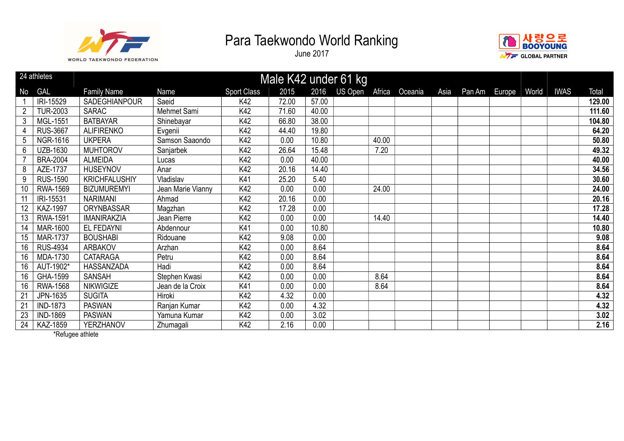

June 2017



|    | 24 athletes     |                      |                   |                    |       |       | Male K42 under 61 kg |       |                |      |        |        |       |             |        |
|----|-----------------|----------------------|-------------------|--------------------|-------|-------|----------------------|-------|----------------|------|--------|--------|-------|-------------|--------|
| No | GAL             | <b>Family Name</b>   | Name              | <b>Sport Class</b> | 2015  | 2016  | US Open              |       | Africa Oceania | Asia | Pan Am | Europe | World | <b>IWAS</b> | Total  |
|    | IRI-15529       | <b>SADEGHIANPOUR</b> | Saeid             | K42                | 72.00 | 57.00 |                      |       |                |      |        |        |       |             | 129.00 |
|    | <b>TUR-2003</b> | <b>SARAC</b>         | Mehmet Sami       | K42                | 71.60 | 40.00 |                      |       |                |      |        |        |       |             | 111.60 |
| 3  | MGL-1551        | <b>BATBAYAR</b>      | Shinebayar        | K42                | 66.80 | 38.00 |                      |       |                |      |        |        |       |             | 104.80 |
|    | <b>RUS-3667</b> | <b>ALIFIRENKO</b>    | Evgenii           | K42                | 44.40 | 19.80 |                      |       |                |      |        |        |       |             | 64.20  |
| 5  | NGR-1616        | <b>UKPERA</b>        | Samson Saaondo    | K42                | 0.00  | 10.80 |                      | 40.00 |                |      |        |        |       |             | 50.80  |
| 6  | UZB-1630        | <b>MUHTOROV</b>      | Sanjarbek         | K42                | 26.64 | 15.48 |                      | 7.20  |                |      |        |        |       |             | 49.32  |
|    | <b>BRA-2004</b> | <b>ALMEIDA</b>       | Lucas             | K42                | 0.00  | 40.00 |                      |       |                |      |        |        |       |             | 40.00  |
| 8  | AZE-1737        | <b>HUSEYNOV</b>      | Anar              | K42                | 20.16 | 14.40 |                      |       |                |      |        |        |       |             | 34.56  |
| 9  | <b>RUS-1590</b> | <b>KRICHFALUSHIY</b> | Vladislav         | K41                | 25.20 | 5.40  |                      |       |                |      |        |        |       |             | 30.60  |
| 10 | <b>RWA-1569</b> | <b>BIZUMUREMYI</b>   | Jean Marie Vianny | K42                | 0.00  | 0.00  |                      | 24.00 |                |      |        |        |       |             | 24.00  |
| 11 | IRI-15531       | <b>NARIMANI</b>      | Ahmad             | K42                | 20.16 | 0.00  |                      |       |                |      |        |        |       |             | 20.16  |
| 12 | <b>KAZ-1997</b> | ORYNBASSAR           | Magzhan           | K42                | 17.28 | 0.00  |                      |       |                |      |        |        |       |             | 17.28  |
| 13 | <b>RWA-1591</b> | <b>IMANIRAKZIA</b>   | Jean Pierre       | K42                | 0.00  | 0.00  |                      | 14.40 |                |      |        |        |       |             | 14.40  |
| 14 | <b>MAR-1600</b> | EL FEDAYNI           | Abdennour         | K41                | 0.00  | 10.80 |                      |       |                |      |        |        |       |             | 10.80  |
| 15 | <b>MAR-1737</b> | <b>BOUSHABI</b>      | Ridouane          | K42                | 9.08  | 0.00  |                      |       |                |      |        |        |       |             | 9.08   |
| 16 | <b>RUS-4934</b> | <b>ARBAKOV</b>       | Arzhan            | K42                | 0.00  | 8.64  |                      |       |                |      |        |        |       |             | 8.64   |
| 16 | MDA-1730        | <b>CATARAGA</b>      | Petru             | K42                | 0.00  | 8.64  |                      |       |                |      |        |        |       |             | 8.64   |
| 16 | AUT-1902*       | HASSANZADA           | Hadi              | K42                | 0.00  | 8.64  |                      |       |                |      |        |        |       |             | 8.64   |
| 16 | GHA-1599        | <b>SANSAH</b>        | Stephen Kwasi     | K42                | 0.00  | 0.00  |                      | 8.64  |                |      |        |        |       |             | 8.64   |
| 16 | <b>RWA-1568</b> | <b>NIKWIGIZE</b>     | Jean de la Croix  | K41                | 0.00  | 0.00  |                      | 8.64  |                |      |        |        |       |             | 8.64   |
| 21 | JPN-1635        | <b>SUGITA</b>        | Hiroki            | K42                | 4.32  | 0.00  |                      |       |                |      |        |        |       |             | 4.32   |
| 21 | <b>IND-1873</b> | <b>PASWAN</b>        | Ranjan Kumar      | K42                | 0.00  | 4.32  |                      |       |                |      |        |        |       |             | 4.32   |
| 23 | <b>IND-1869</b> | <b>PASWAN</b>        | Yamuna Kumar      | K42                | 0.00  | 3.02  |                      |       |                |      |        |        |       |             | 3.02   |
| 24 | KAZ-1859        | <b>YERZHANOV</b>     | Zhumagali         | K42                | 2.16  | 0.00  |                      |       |                |      |        |        |       |             | 2.16   |

\*Refugee athlete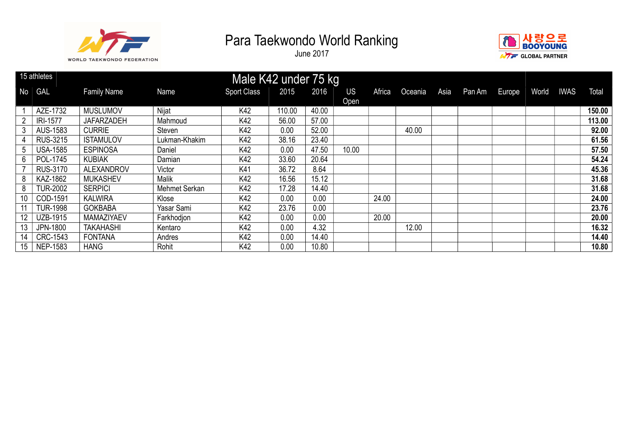



|    | 15 athletes     |                    |               | Male K42 under 75 kg |        |       |       |        |         |      |        |        |       |      |        |
|----|-----------------|--------------------|---------------|----------------------|--------|-------|-------|--------|---------|------|--------|--------|-------|------|--------|
| No | <b>GAL</b>      | <b>Family Name</b> | Name          | <b>Sport Class</b>   | 2015   | 2016  | US    | Africa | Oceania | Asia | Pan Am | Europe | World | IWAS | Total  |
|    |                 |                    |               |                      |        |       | Open  |        |         |      |        |        |       |      |        |
|    | AZE-1732        | <b>MUSLUMOV</b>    | Nijat         | K42                  | 110.00 | 40.00 |       |        |         |      |        |        |       |      | 150.00 |
|    | <b>IRI-1577</b> | <b>JAFARZADEH</b>  | Mahmoud       | K42                  | 56.00  | 57.00 |       |        |         |      |        |        |       |      | 113.00 |
|    | AUS-1583        | <b>CURRIE</b>      | Steven        | K42                  | 0.00   | 52.00 |       |        | 40.00   |      |        |        |       |      | 92.00  |
|    | <b>RUS-3215</b> | <b>ISTAMULOV</b>   | Lukman-Khakim | K42                  | 38.16  | 23.40 |       |        |         |      |        |        |       |      | 61.56  |
| 5  | <b>USA-1585</b> | <b>ESPINOSA</b>    | Daniel        | K42                  | 0.00   | 47.50 | 10.00 |        |         |      |        |        |       |      | 57.50  |
| 6  | POL-1745        | <b>KUBIAK</b>      | Damian        | K42                  | 33.60  | 20.64 |       |        |         |      |        |        |       |      | 54.24  |
|    | <b>RUS-3170</b> | <b>ALEXANDROV</b>  | Victor        | K41                  | 36.72  | 8.64  |       |        |         |      |        |        |       |      | 45.36  |
| 8  | KAZ-1862        | <b>MUKASHEV</b>    | <b>Malik</b>  | K42                  | 16.56  | 15.12 |       |        |         |      |        |        |       |      | 31.68  |
| 8  | <b>TUR-2002</b> | <b>SERPICI</b>     | Mehmet Serkan | K42                  | 17.28  | 14.40 |       |        |         |      |        |        |       |      | 31.68  |
| 10 | COD-1591        | <b>KALWIRA</b>     | Klose         | K42                  | 0.00   | 0.00  |       | 24.00  |         |      |        |        |       |      | 24.00  |
|    | <b>TUR-1998</b> | <b>GOKBABA</b>     | Yasar Sami    | K42                  | 23.76  | 0.00  |       |        |         |      |        |        |       |      | 23.76  |
| 12 | UZB-1915        | MAMAZIYAEV         | Farkhodjon    | K42                  | 0.00   | 0.00  |       | 20.00  |         |      |        |        |       |      | 20.00  |
| 13 | JPN-1800        | <b>TAKAHASHI</b>   | Kentaro       | K42                  | 0.00   | 4.32  |       |        | 12.00   |      |        |        |       |      | 16.32  |
| 14 | <b>CRC-1543</b> | <b>FONTANA</b>     | Andres        | K42                  | 0.00   | 14.40 |       |        |         |      |        |        |       |      | 14.40  |
| 15 | NEP-1583        | <b>HANG</b>        | Rohit         | K42                  | 0.00   | 10.80 |       |        |         |      |        |        |       |      | 10.80  |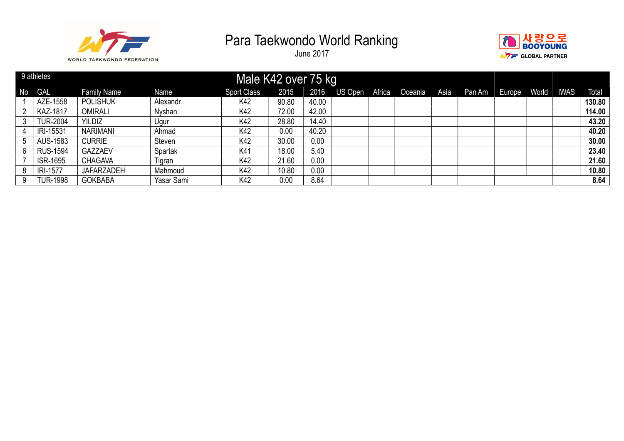



|    | 9 athletes      |                    |            | Male K42 over 75 kg |       |       |         |        |         |      |        |        |       |             |        |
|----|-----------------|--------------------|------------|---------------------|-------|-------|---------|--------|---------|------|--------|--------|-------|-------------|--------|
| No | <b>GAL</b>      | <b>Family Name</b> | Name       | <b>Sport Class</b>  | 2015  | 2016  | US Open | Africa | Oceania | Asia | Pan Am | Europe | World | <b>IWAS</b> | Total  |
|    | AZE-1558        | <b>POLISHUK</b>    | Alexandr   | K42                 | 90.80 | 40.00 |         |        |         |      |        |        |       |             | 130.80 |
|    | <b>KAZ-1817</b> | <b>OMIRALI</b>     | Nyshan     | K42                 | 72.00 | 42.00 |         |        |         |      |        |        |       |             | 114.00 |
|    | <b>TUR-2004</b> | <b>YILDIZ</b>      | Ugur       | K42                 | 28.80 | 14.40 |         |        |         |      |        |        |       |             | 43.20  |
| 4  | IRI-15531       | <b>NARIMANI</b>    | Ahmad      | K42                 | 0.00  | 40.20 |         |        |         |      |        |        |       |             | 40.20  |
|    | AUS-1583        | <b>CURRIE</b>      | Steven     | K42                 | 30.00 | 0.00  |         |        |         |      |        |        |       |             | 30.00  |
|    | <b>RUS-1594</b> | GAZZAEV            | Spartak    | K41                 | 18.00 | 5.40  |         |        |         |      |        |        |       |             | 23.40  |
|    | <b>ISR-1695</b> | <b>CHAGAVA</b>     | Tigran     | K42                 | 21.60 | 0.00  |         |        |         |      |        |        |       |             | 21.60  |
|    | <b>IRI-1577</b> | <b>JAFARZADEH</b>  | Mahmoud    | K42                 | 10.80 | 0.00  |         |        |         |      |        |        |       |             | 10.80  |
|    | <b>TUR-1998</b> | <b>GOKBABA</b>     | Yasar Sami | K42                 | 0.00  | 8.64  |         |        |         |      |        |        |       |             | 8.64   |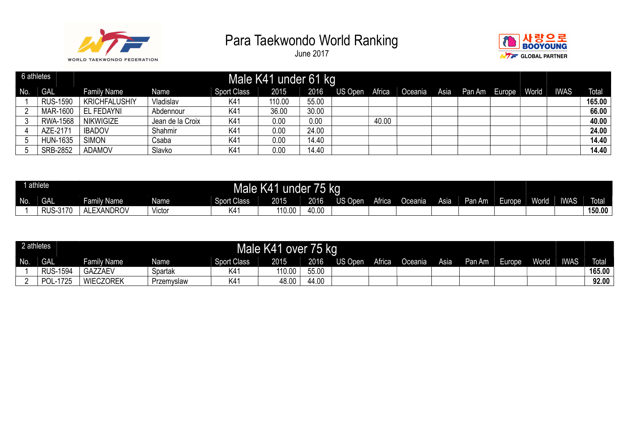



| 6 athletes |                 |                      |                  |                    | Male K41 under 61 kg |       |                |        |         |      |                         |  |             |              |
|------------|-----------------|----------------------|------------------|--------------------|----------------------|-------|----------------|--------|---------|------|-------------------------|--|-------------|--------------|
| No.        | <b>GAL</b>      | <b>Family Name</b>   | Name             | <b>Sport Class</b> | 2015                 | 2016  | <b>US Open</b> | Africa | Oceania | Asia | Pan Am   Europe   World |  | <b>IWAS</b> | <b>Total</b> |
|            | <b>RUS-1590</b> | <b>KRICHFALUSHIY</b> | Vladislav        | K41                | 110.00               | 55.00 |                |        |         |      |                         |  |             | 165.00       |
|            | MAR-1600        | EL FEDAYNI           | Abdennour        | K41                | 36.00                | 30.00 |                |        |         |      |                         |  |             | 66.00        |
|            | <b>RWA-1568</b> | <b>NIKWIGIZE</b>     | Jean de la Croix | K <sub>4</sub>     | 0.00                 | 0.00  |                | 40.00  |         |      |                         |  |             | 40.00        |
|            | AZE-2171        | <b>IBADOV</b>        | Shahmir          | K <sub>4</sub>     | 0.00                 | 24.00 |                |        |         |      |                         |  |             | 24.00        |
|            | <b>HUN-1635</b> | <b>SIMON</b>         | Csaba            | K4                 | 0.00                 | 14.40 |                |        |         |      |                         |  |             | 14.40        |
|            | <b>SRB-2852</b> | <b>ADAMOV</b>        | Slavko           | K <sub>4</sub>     | 0.00                 | 14.40 |                |        |         |      |                         |  |             | 14.40        |

|     | athlete        |                        |       | Male K41           | under              | 76<br>$15$ kg |                |        |         |      |        |         |       |             |              |
|-----|----------------|------------------------|-------|--------------------|--------------------|---------------|----------------|--------|---------|------|--------|---------|-------|-------------|--------------|
| No. | <b>GAL</b>     | iily Name<br>-ami      | Name  | <b>Sport Class</b> | 2015               | 2016          | US OI<br>Jpen. | Africa | Oceania | Asia | Pan Am | Europe. | World | <b>IWAS</b> | <b>Total</b> |
|     | 3170-<br>RUS-3 | <b>LEXANDROV</b><br>ΔΙ | Victo | K4                 | 110.0 <sub>u</sub> | 40.00         |                |        |         |      |        |         |       |             | 150.00       |

| 2 athletes |                 |                  |            |                    | Male K41 over 75 kg |       |         |        |         |      |        |        |       |             |        |
|------------|-----------------|------------------|------------|--------------------|---------------------|-------|---------|--------|---------|------|--------|--------|-------|-------------|--------|
| No.        | <b>GAL</b>      | Family Name      | Name       | <b>Sport Class</b> | 2015                | 2016  | US Open | Africa | Oceania | Asia | Pan Am | Europe | World | <b>IWAS</b> | Total  |
|            | <b>RUS-1594</b> | <b>GAZZAEV</b>   | Spartak    | K4ʻ                | 110.00              | 55.00 |         |        |         |      |        |        |       |             | 165.00 |
|            | 1725<br>POL-    | <b>WIECZOREK</b> | Przemyslaw | K41                | 48.00               | 44.00 |         |        |         |      |        |        |       |             | 92.00  |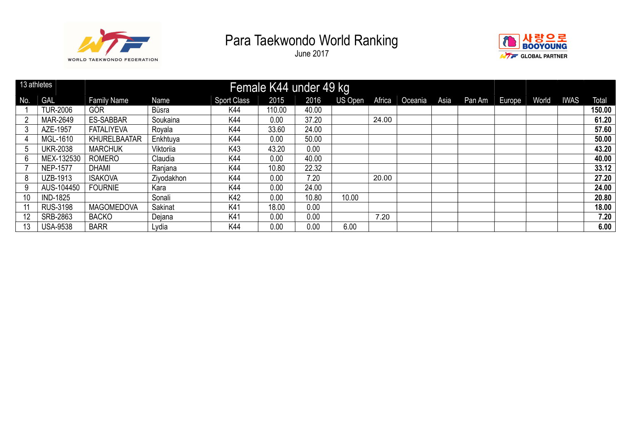



|     | 13 athletes     |                     |            |                    | Female K44 under 49 kg |       |         |        |         |      |        |        |       |             |        |
|-----|-----------------|---------------------|------------|--------------------|------------------------|-------|---------|--------|---------|------|--------|--------|-------|-------------|--------|
| No. | GAL             | <b>Family Name</b>  | Name       | <b>Sport Class</b> | 2015                   | 2016  | US Open | Africa | Oceania | Asia | Pan Am | Europe | World | <b>IWAS</b> | Total  |
|     | <b>TUR-2006</b> | <b>GÖR</b>          | Büsra      | K44                | 110.00                 | 40.00 |         |        |         |      |        |        |       |             | 150.00 |
|     | MAR-2649        | <b>ES-SABBAR</b>    | Soukaina   | K44                | 0.00                   | 37.20 |         | 24.00  |         |      |        |        |       |             | 61.20  |
|     | AZE-1957        | <b>FATALIYEVA</b>   | Royala     | K44                | 33.60                  | 24.00 |         |        |         |      |        |        |       |             | 57.60  |
| 4   | MGL-1610        | <b>KHURELBAATAR</b> | Enkhtuya   | K44                | 0.00                   | 50.00 |         |        |         |      |        |        |       |             | 50.00  |
| 5   | <b>UKR-2038</b> | <b>MARCHUK</b>      | Viktoriia  | K43                | 43.20                  | 0.00  |         |        |         |      |        |        |       |             | 43.20  |
| 6   | MEX-132530      | <b>ROMERO</b>       | Claudia    | K44                | 0.00                   | 40.00 |         |        |         |      |        |        |       |             | 40.00  |
|     | <b>NEP-1577</b> | <b>DHAMI</b>        | Ranjana    | K44                | 10.80                  | 22.32 |         |        |         |      |        |        |       |             | 33.12  |
| 8   | UZB-1913        | <b>ISAKOVA</b>      | Ziyodakhon | K44                | 0.00                   | 7.20  |         | 20.00  |         |      |        |        |       |             | 27.20  |
| 9   | AUS-104450      | <b>FOURNIE</b>      | Kara       | K44                | 0.00                   | 24.00 |         |        |         |      |        |        |       |             | 24.00  |
| 10  | <b>IND-1825</b> |                     | Sonali     | K42                | 0.00                   | 10.80 | 10.00   |        |         |      |        |        |       |             | 20.80  |
|     | <b>RUS-3198</b> | <b>MAGOMEDOVA</b>   | Sakinat    | K41                | 18.00                  | 0.00  |         |        |         |      |        |        |       |             | 18.00  |
| 12  | SRB-2863        | <b>BACKO</b>        | Dejana     | K41                | 0.00                   | 0.00  |         | 7.20   |         |      |        |        |       |             | 7.20   |
| 13  | <b>USA-9538</b> | <b>BARR</b>         | Lydia      | K44                | 0.00                   | 0.00  | 6.00    |        |         |      |        |        |       |             | 6.00   |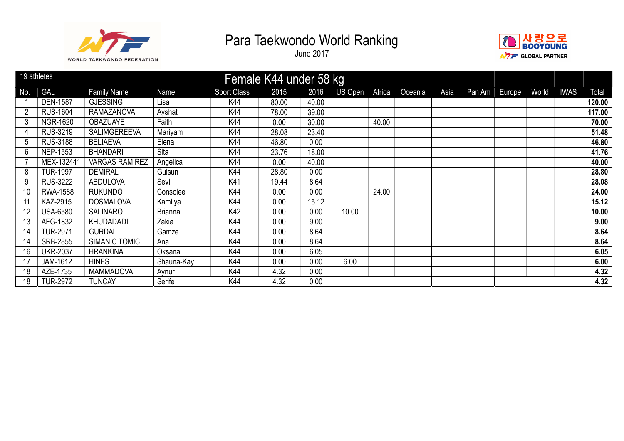



|     | 19 athletes     |                       |                |                    | Female K44 under 58 kg |       |         |        |         |      |        |        |       |             |        |
|-----|-----------------|-----------------------|----------------|--------------------|------------------------|-------|---------|--------|---------|------|--------|--------|-------|-------------|--------|
| No. | <b>GAL</b>      | <b>Family Name</b>    | Name           | <b>Sport Class</b> | 2015                   | 2016  | US Open | Africa | Oceania | Asia | Pan Am | Europe | World | <b>IWAS</b> | Total  |
|     | <b>DEN-1587</b> | <b>GJESSING</b>       | Lisa           | K44                | 80.00                  | 40.00 |         |        |         |      |        |        |       |             | 120.00 |
|     | <b>RUS-1604</b> | <b>RAMAZANOVA</b>     | Ayshat         | K44                | 78.00                  | 39.00 |         |        |         |      |        |        |       |             | 117.00 |
| 3   | <b>NGR-1620</b> | <b>OBAZUAYE</b>       | Faith          | K44                | 0.00                   | 30.00 |         | 40.00  |         |      |        |        |       |             | 70.00  |
| 4   | RUS-3219        | <b>SALIMGEREEVA</b>   | Mariyam        | K44                | 28.08                  | 23.40 |         |        |         |      |        |        |       |             | 51.48  |
| 5   | <b>RUS-3188</b> | <b>BELIAEVA</b>       | Elena          | K44                | 46.80                  | 0.00  |         |        |         |      |        |        |       |             | 46.80  |
| 6   | <b>NEP-1553</b> | <b>BHANDARI</b>       | Sita           | K44                | 23.76                  | 18.00 |         |        |         |      |        |        |       |             | 41.76  |
|     | MEX-132441      | <b>VARGAS RAMIREZ</b> | Angelica       | K44                | 0.00                   | 40.00 |         |        |         |      |        |        |       |             | 40.00  |
| 8   | <b>TUR-1997</b> | <b>DEMIRAL</b>        | Gulsun         | K44                | 28.80                  | 0.00  |         |        |         |      |        |        |       |             | 28.80  |
| 9   | <b>RUS-3222</b> | <b>ABDULOVA</b>       | Sevil          | K41                | 19.44                  | 8.64  |         |        |         |      |        |        |       |             | 28.08  |
| 10  | <b>RWA-1588</b> | <b>RUKUNDO</b>        | Consolee       | K44                | 0.00                   | 0.00  |         | 24.00  |         |      |        |        |       |             | 24.00  |
|     | KAZ-2915        | <b>DOSMALOVA</b>      | Kamilya        | K44                | 0.00                   | 15.12 |         |        |         |      |        |        |       |             | 15.12  |
| 12  | <b>USA-6580</b> | <b>SALINARO</b>       | <b>Brianna</b> | K42                | 0.00                   | 0.00  | 10.00   |        |         |      |        |        |       |             | 10.00  |
| 13  | AFG-1832        | KHUDADADI             | Zakia          | K44                | 0.00                   | 9.00  |         |        |         |      |        |        |       |             | 9.00   |
| 14  | <b>TUR-2971</b> | <b>GURDAL</b>         | Gamze          | K44                | 0.00                   | 8.64  |         |        |         |      |        |        |       |             | 8.64   |
| 14  | SRB-2855        | <b>SIMANIC TOMIC</b>  | Ana            | K44                | 0.00                   | 8.64  |         |        |         |      |        |        |       |             | 8.64   |
| 16  | <b>UKR-2037</b> | <b>HRANKINA</b>       | Oksana         | K44                | 0.00                   | 6.05  |         |        |         |      |        |        |       |             | 6.05   |
| 17  | JAM-1612        | <b>HINES</b>          | Shauna-Kay     | K44                | 0.00                   | 0.00  | 6.00    |        |         |      |        |        |       |             | 6.00   |
| 18  | AZE-1735        | <b>MAMMADOVA</b>      | Aynur          | K44                | 4.32                   | 0.00  |         |        |         |      |        |        |       |             | 4.32   |
| 18  | <b>TUR-2972</b> | <b>TUNCAY</b>         | Serife         | K44                | 4.32                   | 0.00  |         |        |         |      |        |        |       |             | 4.32   |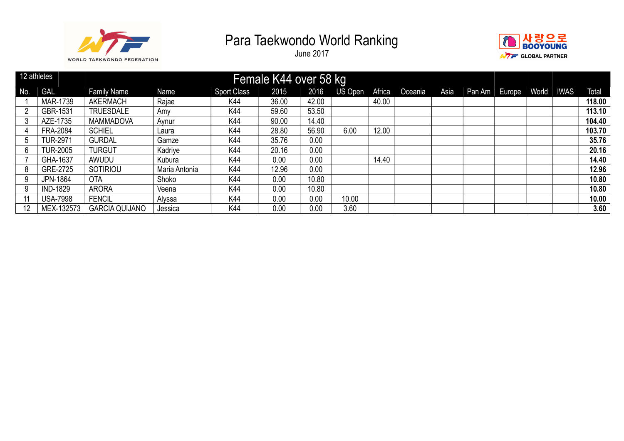



|     | 12 athletes     |                       |               |                    | Female K44 over 58 kg |       |         |        |         |      |        |        |       |             |        |
|-----|-----------------|-----------------------|---------------|--------------------|-----------------------|-------|---------|--------|---------|------|--------|--------|-------|-------------|--------|
| No. | <b>GAL</b>      | <b>Family Name</b>    | Name          | <b>Sport Class</b> | 2015                  | 2016  | US Open | Africa | Oceania | Asia | Pan Am | Europe | World | <b>IWAS</b> | Total  |
|     | MAR-1739        | <b>AKERMACH</b>       | Rajae         | K44                | 36.00                 | 42.00 |         | 40.00  |         |      |        |        |       |             | 118.00 |
|     | GBR-1531        | <b>TRUESDALE</b>      | Amy           | K44                | 59.60                 | 53.50 |         |        |         |      |        |        |       |             | 113.10 |
|     | AZE-1735        | <b>MAMMADOVA</b>      | Aynur         | K44                | 90.00                 | 14.40 |         |        |         |      |        |        |       |             | 104.40 |
|     | <b>FRA-2084</b> | <b>SCHIEL</b>         | Laura         | K44                | 28.80                 | 56.90 | 6.00    | 12.00  |         |      |        |        |       |             | 103.70 |
| 5   | <b>TUR-2971</b> | <b>GURDAL</b>         | Gamze         | K44                | 35.76                 | 0.00  |         |        |         |      |        |        |       |             | 35.76  |
| 6   | <b>TUR-2005</b> | TURGUT                | Kadriye       | K44                | 20.16                 | 0.00  |         |        |         |      |        |        |       |             | 20.16  |
|     | GHA-1637        | AWUDU                 | Kubura        | K44                | 0.00                  | 0.00  |         | 14.40  |         |      |        |        |       |             | 14.40  |
| 8   | GRE-2725        | SOTIRIOU              | Maria Antonia | K44                | 12.96                 | 0.00  |         |        |         |      |        |        |       |             | 12.96  |
| 9   | <b>JPN-1864</b> | <b>OTA</b>            | Shoko         | K44                | 0.00                  | 10.80 |         |        |         |      |        |        |       |             | 10.80  |
| 9   | <b>IND-1829</b> | <b>ARORA</b>          | Veena         | K44                | 0.00                  | 10.80 |         |        |         |      |        |        |       |             | 10.80  |
|     | <b>USA-7998</b> | <b>FENCIL</b>         | Alyssa        | K44                | 0.00                  | 0.00  | 10.00   |        |         |      |        |        |       |             | 10.00  |
| 12  | MEX-132573      | <b>GARCIA QUIJANO</b> | Jessica       | K44                | 0.00                  | 0.00  | 3.60    |        |         |      |        |        |       |             | 3.60   |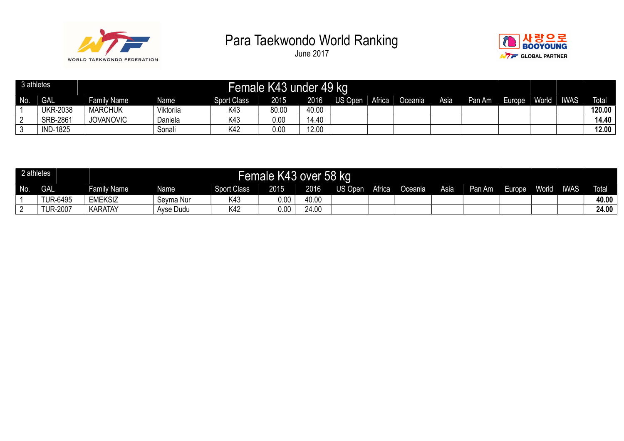



| 3 athletes |                 |                    |           |                    | Female K43 under 49 kg |       |         |        |         |      |        |        |              |             |              |
|------------|-----------------|--------------------|-----------|--------------------|------------------------|-------|---------|--------|---------|------|--------|--------|--------------|-------------|--------------|
| No.        | <b>GAL</b>      | <b>Family Name</b> | Name      | <b>Sport Class</b> | 2015                   | 2016  | US Open | Africa | Oceania | Asia | Pan Am | Europe | <b>World</b> | <b>IWAS</b> | <b>Total</b> |
|            | <b>UKR-2038</b> | <b>MARCHUK</b>     | Viktoriia | K43                | 80.00                  | 40.00 |         |        |         |      |        |        |              |             | 120.00       |
|            | SRB-2861        | <b>JOVANOVIC</b>   | Daniela   | K43                | 0.00                   | 14.40 |         |        |         |      |        |        |              |             | 14.40        |
|            | <b>IND-1825</b> |                    | Sonali    | K42                | 0.00                   | 12.00 |         |        |         |      |        |        |              |             | 12.00        |

| 2 athletes |                 |                    |           |                    | Female K43 over 58 kg |       |         |        |         |      |        |        |              |             |              |
|------------|-----------------|--------------------|-----------|--------------------|-----------------------|-------|---------|--------|---------|------|--------|--------|--------------|-------------|--------------|
| No.        | <b>GAL</b>      | <b>Family Name</b> | Name      | <b>Sport Class</b> | 2015                  | 2016  | US Open | Africa | Oceania | Asia | Pan Am | Europe | <b>World</b> | <b>IWAS</b> | <b>Total</b> |
|            | <b>TUR-6495</b> | <b>EMEKSIZ</b>     | Seyma Nur | K43                | 0.00                  | 40.00 |         |        |         |      |        |        |              |             | 40.00        |
|            | <b>TUR-2007</b> | <b>KARATAY</b>     | Ayse Dudu | K42                | 0.00                  | 24.00 |         |        |         |      |        |        |              |             | 24.00        |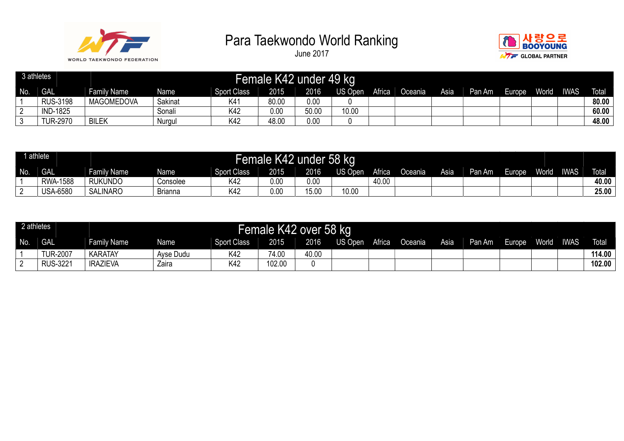



| 3 athletes |                 |                    |         |                    |       | Female K42 under 49 kg |                |        |         |      |        |        |       |             |              |
|------------|-----------------|--------------------|---------|--------------------|-------|------------------------|----------------|--------|---------|------|--------|--------|-------|-------------|--------------|
| No.        | <b>GAL</b>      | <b>Family Name</b> | Name    | <b>Sport Class</b> | 2015  | 2016                   | <b>US Open</b> | Africa | Oceania | Asia | Pan Am | Europe | World | <b>IWAS</b> | <b>Total</b> |
|            | <b>RUS-3198</b> | <b>MAGOMEDOVA</b>  | Sakinat | K41                | 80.00 | 0.00                   |                |        |         |      |        |        |       |             | 80.00        |
|            | <b>IND-1825</b> |                    | Sonali  | K42                | 0.00  | 50.00                  | 10.00          |        |         |      |        |        |       |             | 60.00        |
| . J        | <b>TUR-2970</b> | <b>BILEK</b>       | Nurgul  | K42                | 48.00 | 0.00                   |                |        |         |      |        |        |       |             | 48.00        |

| $\overline{A}$ | athlete         |                    |                |                    | <b>Female K42</b> | under 58 kg |         |        |                |      |        |       |       |             |              |
|----------------|-----------------|--------------------|----------------|--------------------|-------------------|-------------|---------|--------|----------------|------|--------|-------|-------|-------------|--------------|
| No.            | <b>GAL</b>      | <b>Family Name</b> | Name           | <b>Sport Class</b> | 2015              | 2016        | US Open | Africa | <b>Preania</b> | Asia | Pan Am | urope | World | <b>IWAS</b> | <b>Total</b> |
|                | <b>RWA-1588</b> | <b>RUKUNDO</b>     | Consolee       | K42                | 0.00              | 0.00        |         | 40.00  |                |      |        |       |       |             | 40.00        |
| ົ              | <b>USA-6580</b> | <b>SALINARO</b>    | <b>Brianna</b> | K42                | 0.00              | 15.00       | 10.00   |        |                |      |        |       |       |             | 25.00        |

| 2 athletes |                 |                 |           |                    | Female K42 over 58 kg |       |         |        |         |      |        |        |              |             |        |
|------------|-----------------|-----------------|-----------|--------------------|-----------------------|-------|---------|--------|---------|------|--------|--------|--------------|-------------|--------|
| No.        | <b>GAL</b>      | Family Name     | Name      | <b>Sport Class</b> | 2015                  | 2016  | US Open | Africa | Oceania | Asia | Pan Am | Europe | <b>World</b> | <b>IWAS</b> | Total  |
|            | <b>TUR-2007</b> | <b>KARATAY</b>  | Ayse Dudu | K42                | 74.00                 | 40.00 |         |        |         |      |        |        |              |             | 114.00 |
|            | <b>RUS-3221</b> | <b>IRAZIEVA</b> | Zaira     | K42                | 102.00                |       |         |        |         |      |        |        |              |             | 102.00 |